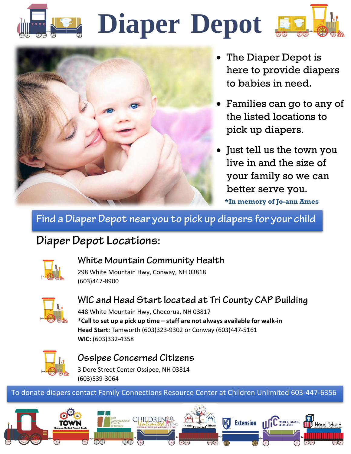# **Diaper Depot**



- The Diaper Depot is here to provide diapers to babies in need.
- Families can go to any of the listed locations to pick up diapers.
- Just tell us the town you live in and the size of your family so we can better serve you. **\*In memory of Jo-ann Ames**

**Find a Diaper Depot near you to pick up diapers for your child**

### **Diaper Depot Locations:**



#### **White Mountain Community Health**

298 White Mountain Hwy, Conway, NH 03818 (603)447-8900



#### **WIC and Head Start located at Tri County CAP Building** 448 White Mountain Hwy, Chocorua, NH 03817

\***Call to set up a pick up time – staff are not always available for walk-in Head Start:** Tamworth (603)323-9302 or Conway (603)447-5161 **WIC:** (603)332-4358



#### **Ossipee Concerned Citizens**

3 Dore Street Center Ossipee, NH 03814 (603)539-3064

#### To donate diapers contact Family Connections Resource Center at Children Unlimited 603-447-6356